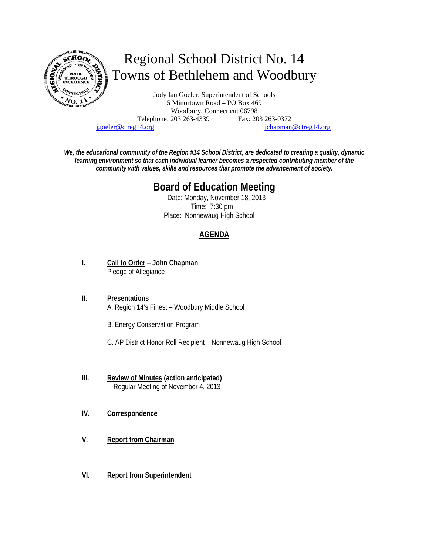

jgoeler@ctreg14.org jchapman@ctreg14.org

*We, the educational community of the Region #14 School District, are dedicated to creating a quality, dynamic learning environment so that each individual learner becomes a respected contributing member of the community with values, skills and resources that promote the advancement of society.* 

# **Board of Education Meeting**

 Date: Monday, November 18, 2013 Time: 7:30 pm Place: Nonnewaug High School

# **AGENDA**

- **I. Call to Order John Chapman** Pledge of Allegiance
- **II. Presentations** A. Region 14's Finest – Woodbury Middle School
	- B. Energy Conservation Program
	- C. AP District Honor Roll Recipient Nonnewaug High School
- **III. Review of Minutes (action anticipated)** Regular Meeting of November 4, 2013
- **IV. Correspondence**
- **V. Report from Chairman**
- **VI. Report from Superintendent**